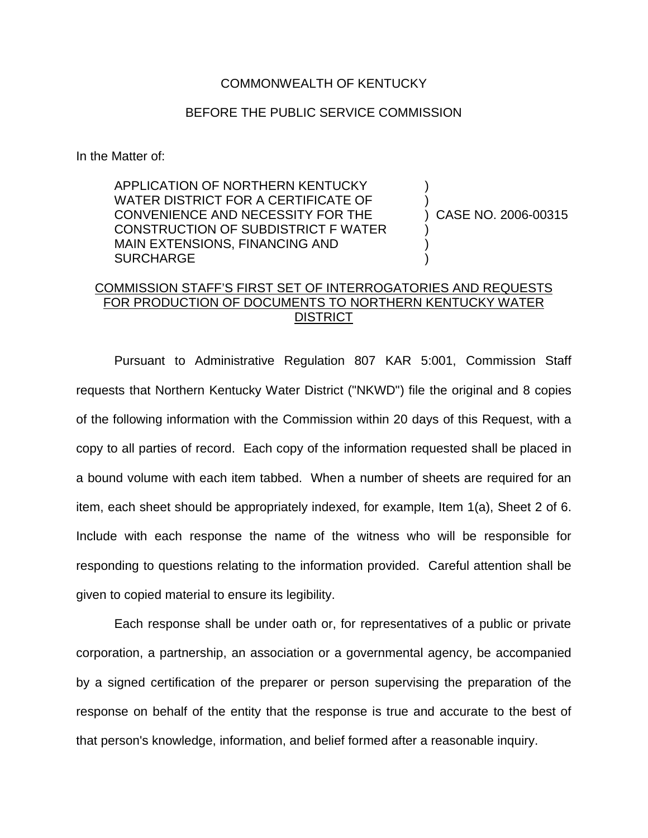## COMMONWEALTH OF KENTUCKY

## BEFORE THE PUBLIC SERVICE COMMISSION

In the Matter of:

APPLICATION OF NORTHERN KENTUCKY WATER DISTRICT FOR A CERTIFICATE OF CONVENIENCE AND NECESSITY FOR THE CONSTRUCTION OF SUBDISTRICT F WATER MAIN EXTENSIONS, FINANCING AND **SURCHARGE** 

) CASE NO. 2006-00315

) )

) ) )

## COMMISSION STAFF'S FIRST SET OF INTERROGATORIES AND REQUESTS FOR PRODUCTION OF DOCUMENTS TO NORTHERN KENTUCKY WATER **DISTRICT**

Pursuant to Administrative Regulation 807 KAR 5:001, Commission Staff requests that Northern Kentucky Water District ("NKWD") file the original and 8 copies of the following information with the Commission within 20 days of this Request, with a copy to all parties of record. Each copy of the information requested shall be placed in a bound volume with each item tabbed. When a number of sheets are required for an item, each sheet should be appropriately indexed, for example, Item 1(a), Sheet 2 of 6. Include with each response the name of the witness who will be responsible for responding to questions relating to the information provided. Careful attention shall be given to copied material to ensure its legibility.

Each response shall be under oath or, for representatives of a public or private corporation, a partnership, an association or a governmental agency, be accompanied by a signed certification of the preparer or person supervising the preparation of the response on behalf of the entity that the response is true and accurate to the best of that person's knowledge, information, and belief formed after a reasonable inquiry.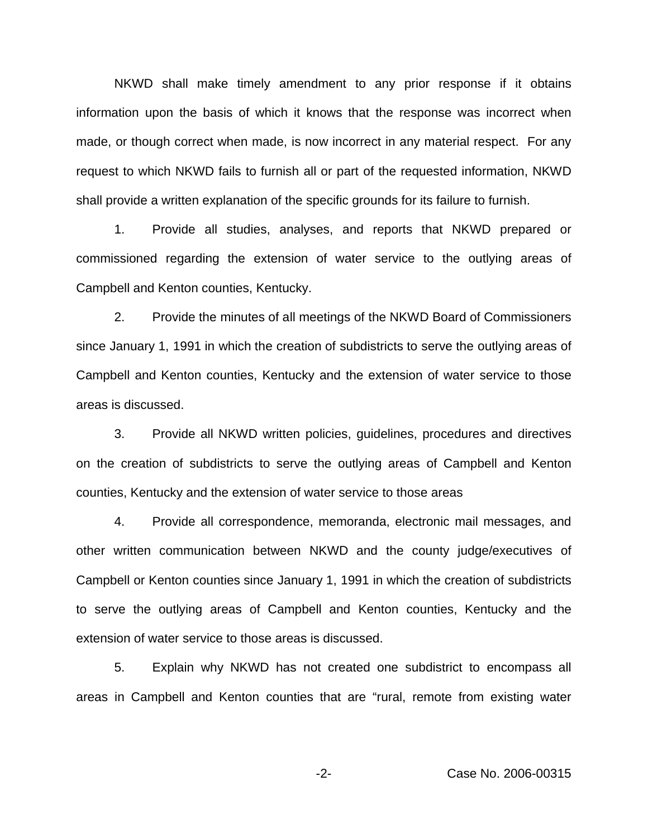NKWD shall make timely amendment to any prior response if it obtains information upon the basis of which it knows that the response was incorrect when made, or though correct when made, is now incorrect in any material respect. For any request to which NKWD fails to furnish all or part of the requested information, NKWD shall provide a written explanation of the specific grounds for its failure to furnish.

1. Provide all studies, analyses, and reports that NKWD prepared or commissioned regarding the extension of water service to the outlying areas of Campbell and Kenton counties, Kentucky.

2. Provide the minutes of all meetings of the NKWD Board of Commissioners since January 1, 1991 in which the creation of subdistricts to serve the outlying areas of Campbell and Kenton counties, Kentucky and the extension of water service to those areas is discussed.

3. Provide all NKWD written policies, guidelines, procedures and directives on the creation of subdistricts to serve the outlying areas of Campbell and Kenton counties, Kentucky and the extension of water service to those areas

4. Provide all correspondence, memoranda, electronic mail messages, and other written communication between NKWD and the county judge/executives of Campbell or Kenton counties since January 1, 1991 in which the creation of subdistricts to serve the outlying areas of Campbell and Kenton counties, Kentucky and the extension of water service to those areas is discussed.

5. Explain why NKWD has not created one subdistrict to encompass all areas in Campbell and Kenton counties that are "rural, remote from existing water

-2- Case No. 2006-00315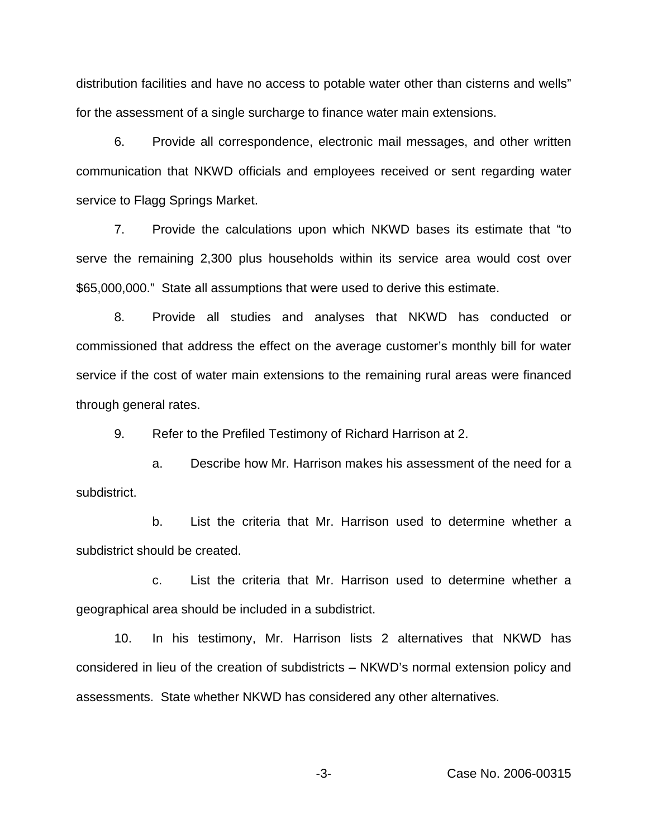distribution facilities and have no access to potable water other than cisterns and wells" for the assessment of a single surcharge to finance water main extensions.

6. Provide all correspondence, electronic mail messages, and other written communication that NKWD officials and employees received or sent regarding water service to Flagg Springs Market.

7. Provide the calculations upon which NKWD bases its estimate that "to serve the remaining 2,300 plus households within its service area would cost over \$65,000,000." State all assumptions that were used to derive this estimate.

8. Provide all studies and analyses that NKWD has conducted or commissioned that address the effect on the average customer's monthly bill for water service if the cost of water main extensions to the remaining rural areas were financed through general rates.

9. Refer to the Prefiled Testimony of Richard Harrison at 2.

a. Describe how Mr. Harrison makes his assessment of the need for a subdistrict.

b. List the criteria that Mr. Harrison used to determine whether a subdistrict should be created.

c. List the criteria that Mr. Harrison used to determine whether a geographical area should be included in a subdistrict.

10. In his testimony, Mr. Harrison lists 2 alternatives that NKWD has considered in lieu of the creation of subdistricts – NKWD's normal extension policy and assessments. State whether NKWD has considered any other alternatives.

-3- Case No. 2006-00315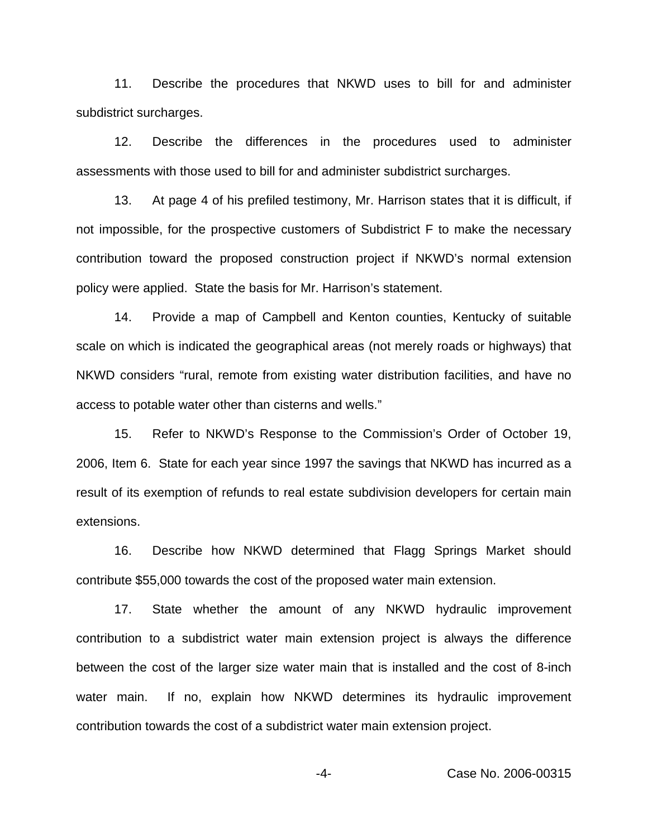11. Describe the procedures that NKWD uses to bill for and administer subdistrict surcharges.

12. Describe the differences in the procedures used to administer assessments with those used to bill for and administer subdistrict surcharges.

13. At page 4 of his prefiled testimony, Mr. Harrison states that it is difficult, if not impossible, for the prospective customers of Subdistrict F to make the necessary contribution toward the proposed construction project if NKWD's normal extension policy were applied. State the basis for Mr. Harrison's statement.

14. Provide a map of Campbell and Kenton counties, Kentucky of suitable scale on which is indicated the geographical areas (not merely roads or highways) that NKWD considers "rural, remote from existing water distribution facilities, and have no access to potable water other than cisterns and wells."

15. Refer to NKWD's Response to the Commission's Order of October 19, 2006, Item 6. State for each year since 1997 the savings that NKWD has incurred as a result of its exemption of refunds to real estate subdivision developers for certain main extensions.

16. Describe how NKWD determined that Flagg Springs Market should contribute \$55,000 towards the cost of the proposed water main extension.

17. State whether the amount of any NKWD hydraulic improvement contribution to a subdistrict water main extension project is always the difference between the cost of the larger size water main that is installed and the cost of 8-inch water main. If no, explain how NKWD determines its hydraulic improvement contribution towards the cost of a subdistrict water main extension project.

-4- Case No. 2006-00315